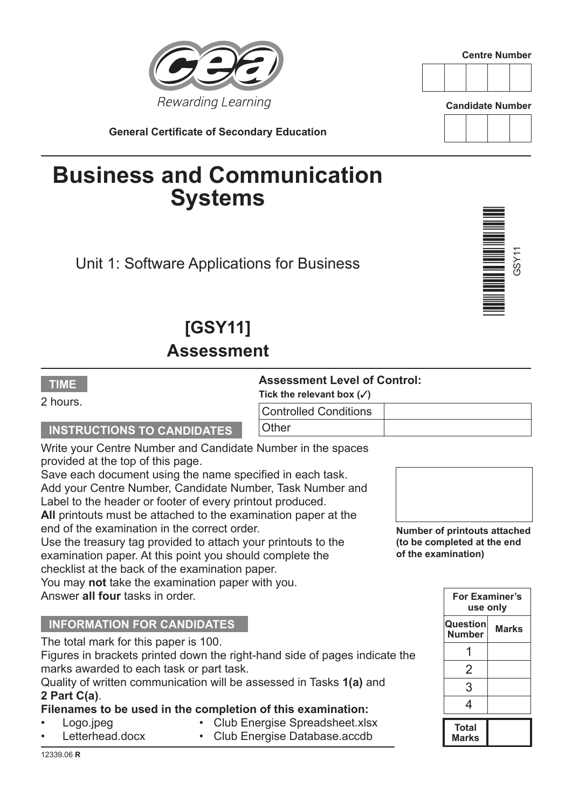

**Centre Number**



**Candidate Number**

**General Certificate of Secondary Education**

# **Business and Communication Systems**

Unit 1: Software Applications for Business

## **[GSY11] Assessment**

## **TIME** 2 hours.

## **Assessment Level of Control:**

Tick the relevant box  $(\sqrt{3})$ 

| $1.1$ and $1.01$ and $1.01$ and $1.00$ and $1.00$ and $1.00$ and $1.00$ and $1.00$ and $1.00$ and $1.00$ and $1.00$ and $1.00$ and $1.00$ and $1.00$ and $1.00$ and $1.00$ and $1.00$ and $1.00$ and $1.00$ and $1.00$ and $1$ |  |
|--------------------------------------------------------------------------------------------------------------------------------------------------------------------------------------------------------------------------------|--|
| <b>Controlled Conditions</b>                                                                                                                                                                                                   |  |
| Other                                                                                                                                                                                                                          |  |

Write your Centre Number and Candidate Number in the spaces provided at the top of this page.

Save each document using the name specified in each task. Add your Centre Number, Candidate Number, Task Number and Label to the header or footer of every printout produced.

**All** printouts must be attached to the examination paper at the end of the examination in the correct order.

Use the treasury tag provided to attach your printouts to the examination paper. At this point you should complete the checklist at the back of the examination paper.

You may **not** take the examination paper with you. Answer **all four** tasks in order.

## **INFORMATION FOR CANDIDATES**

**INSTRUCTIONS TO CANDIDATES**

The total mark for this paper is 100.

Figures in brackets printed down the right-hand side of pages indicate the marks awarded to each task or part task.

Quality of written communication will be assessed in Tasks **1(a)** and **2 Part C(a)**.

#### **Filenames to be used in the completion of this examination:**

• Logo.jpeg • Club Energise Spreadsheet.xlsx

12339.06 **R**

Letterhead.docx • Club Energise Database.accdb



**Number of printouts attached (to be completed at the end of the examination)**

| For Examiner's<br>use only |       |  |
|----------------------------|-------|--|
| Question<br><b>Number</b>  | Marks |  |
|                            |       |  |
| 2                          |       |  |
| 3                          |       |  |
| 4                          |       |  |
| Total<br><b>Marks</b>      |       |  |

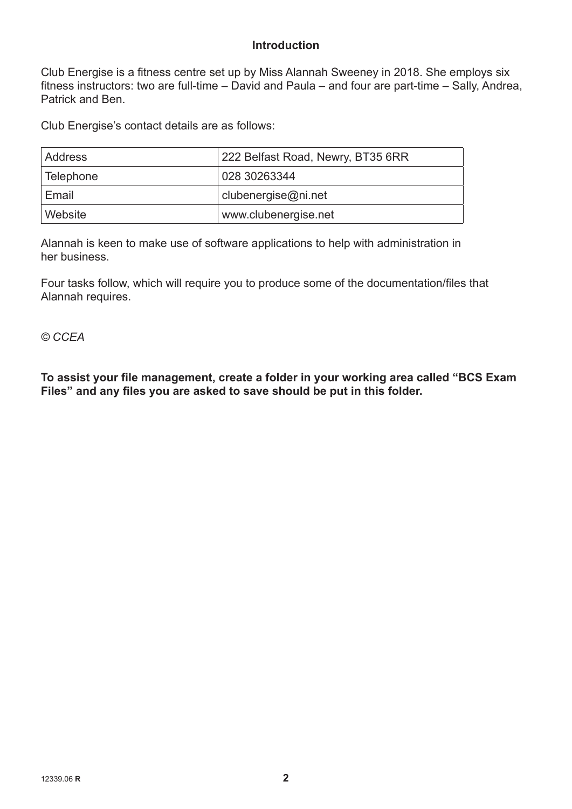### **Introduction**

Club Energise is a fitness centre set up by Miss Alannah Sweeney in 2018. She employs six fitness instructors: two are full-time – David and Paula – and four are part-time – Sally, Andrea, Patrick and Ben.

Club Energise's contact details are as follows:

| <b>Address</b> | 222 Belfast Road, Newry, BT35 6RR |  |
|----------------|-----------------------------------|--|
| Telephone      | 028 30263344                      |  |
| Email          | clubenergise@ni.net               |  |
| Website        | www.clubenergise.net              |  |

Alannah is keen to make use of software applications to help with administration in her business.

Four tasks follow, which will require you to produce some of the documentation/files that Alannah requires.

*© CCEA*

**To assist your file management, create a folder in your working area called "BCS Exam Files" and any files you are asked to save should be put in this folder.**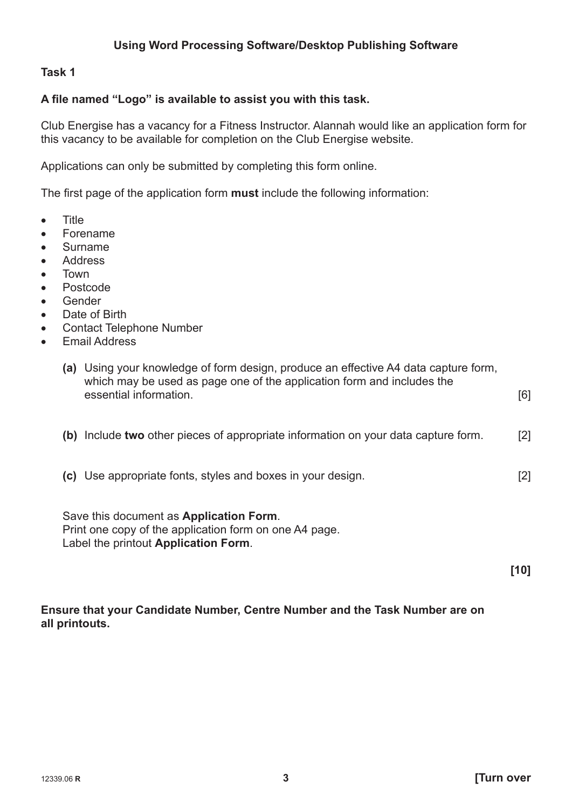## **A file named "Logo" is available to assist you with this task.**

Club Energise has a vacancy for a Fitness Instructor. Alannah would like an application form for this vacancy to be available for completion on the Club Energise website.

Applications can only be submitted by completing this form online.

The first page of the application form **must** include the following information:

- • Title
- • Forename
- • Surname
- • Address
- • Town
- • Postcode
- • Gender
- Date of Birth
- • Contact Telephone Number
- • Email Address

| (a) Using your knowledge of form design, produce an effective A4 data capture form,<br>which may be used as page one of the application form and includes the<br>essential information. | [6] |
|-----------------------------------------------------------------------------------------------------------------------------------------------------------------------------------------|-----|
| (b) Include two other pieces of appropriate information on your data capture form.                                                                                                      | [2] |
| (c) Use appropriate fonts, styles and boxes in your design.                                                                                                                             | [2] |
| Save this document as <b>Application Form</b> .<br>Print one copy of the application form on one A4 page.<br>Label the printout Application Form.                                       | 10  |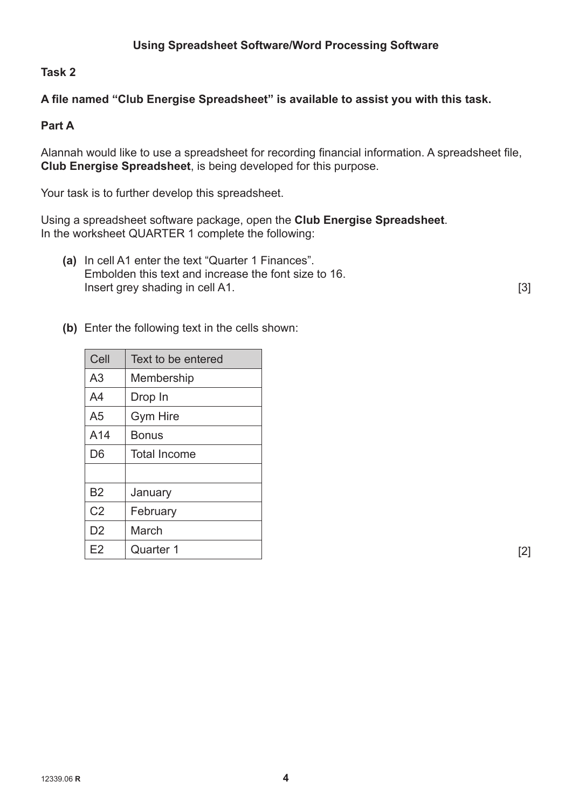## **A file named "Club Energise Spreadsheet" is available to assist you with this task.**

## **Part A**

Alannah would like to use a spreadsheet for recording financial information. A spreadsheet file, **Club Energise Spreadsheet**, is being developed for this purpose.

Your task is to further develop this spreadsheet.

Using a spreadsheet software package, open the **Club Energise Spreadsheet**. In the worksheet QUARTER 1 complete the following:

**(a)** In cell A1 enter the text "Quarter 1 Finances". Embolden this text and increase the font size to 16. **Insert grey shading in cell A1.** [3]

**(b)** Enter the following text in the cells shown:

| Cell           | Text to be entered  |
|----------------|---------------------|
| A <sub>3</sub> | Membership          |
| A4             | Drop In             |
| A <sub>5</sub> | <b>Gym Hire</b>     |
| A14            | <b>Bonus</b>        |
| D <sub>6</sub> | <b>Total Income</b> |
|                |                     |
| <b>B2</b>      | January             |
| C <sub>2</sub> | February            |
| D <sub>2</sub> | March               |
| E2             | Quarter 1           |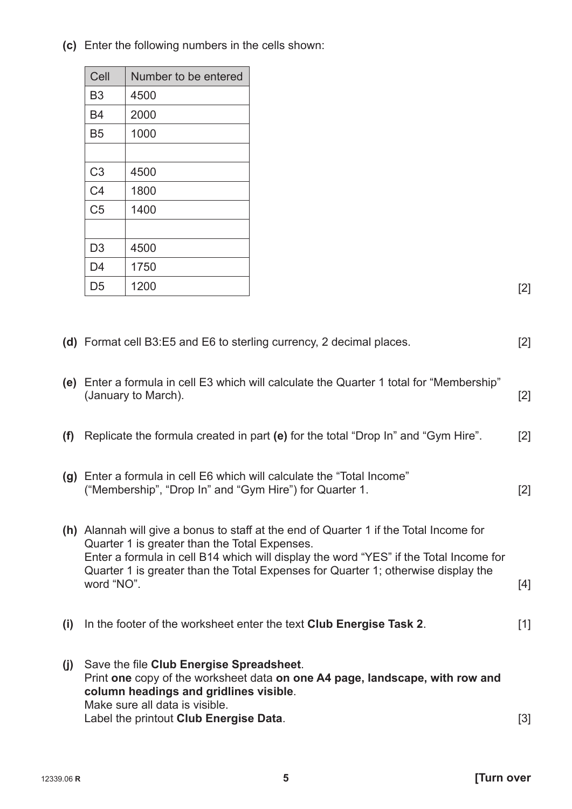**(c)** Enter the following numbers in the cells shown:

| Cell           | Number to be entered |
|----------------|----------------------|
| B <sub>3</sub> | 4500                 |
| <b>B4</b>      | 2000                 |
| B <sub>5</sub> | 1000                 |
|                |                      |
| C <sub>3</sub> | 4500                 |
| C <sub>4</sub> | 1800                 |
| C <sub>5</sub> | 1400                 |
|                |                      |
| D <sub>3</sub> | 4500                 |
| D <sub>4</sub> | 1750                 |
| D <sub>5</sub> | 1200                 |

|     | (d) Format cell B3:E5 and E6 to sterling currency, 2 decimal places.                                                                                                                                                                                                                                                                | $[2]$             |
|-----|-------------------------------------------------------------------------------------------------------------------------------------------------------------------------------------------------------------------------------------------------------------------------------------------------------------------------------------|-------------------|
|     | (e) Enter a formula in cell E3 which will calculate the Quarter 1 total for "Membership"<br>(January to March).                                                                                                                                                                                                                     | $[2]$             |
| (f) | Replicate the formula created in part (e) for the total "Drop In" and "Gym Hire".                                                                                                                                                                                                                                                   | $\lceil 2 \rceil$ |
|     | (g) Enter a formula in cell E6 which will calculate the "Total Income"<br>("Membership", "Drop In" and "Gym Hire") for Quarter 1.                                                                                                                                                                                                   | $[2]$             |
|     | (h) Alannah will give a bonus to staff at the end of Quarter 1 if the Total Income for<br>Quarter 1 is greater than the Total Expenses.<br>Enter a formula in cell B14 which will display the word "YES" if the Total Income for<br>Quarter 1 is greater than the Total Expenses for Quarter 1; otherwise display the<br>word "NO". | $[4]$             |
| (i) | In the footer of the worksheet enter the text Club Energise Task 2.                                                                                                                                                                                                                                                                 | [1]               |
| (j) | Save the file Club Energise Spreadsheet.<br>Print one copy of the worksheet data on one A4 page, landscape, with row and<br>column headings and gridlines visible.<br>Make sure all data is visible.<br>Label the printout Club Energise Data.                                                                                      | [3]               |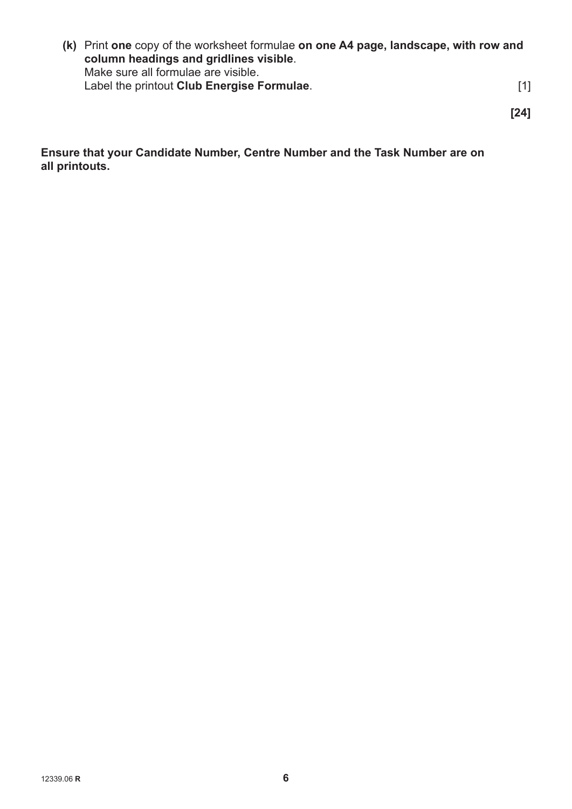**(k)** Print **one** copy of the worksheet formulae **on one A4 page, landscape, with row and column headings and gridlines visible**. Make sure all formulae are visible. **Label the printout Club Energise Formulae.**  [1]

**[24]**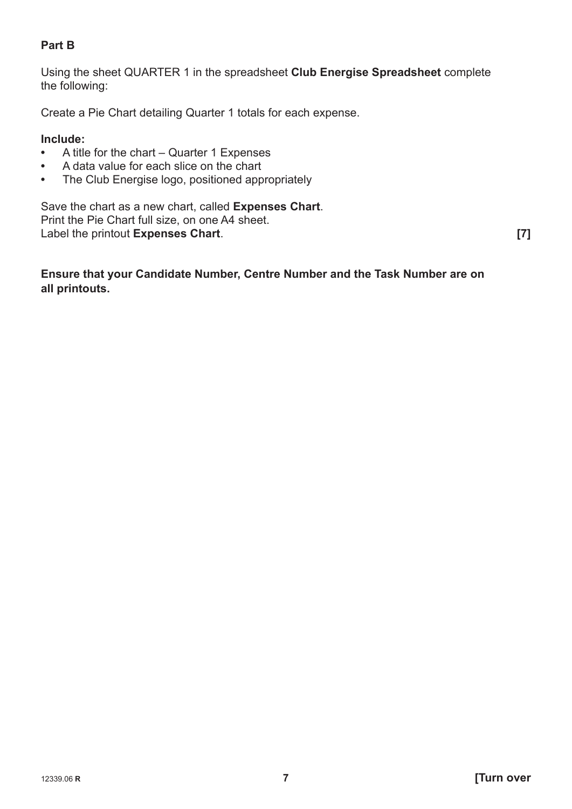## **Part B**

Using the sheet QUARTER 1 in the spreadsheet **Club Energise Spreadsheet** complete the following:

Create a Pie Chart detailing Quarter 1 totals for each expense.

## **Include:**

- A title for the chart Quarter 1 Expenses<br>• A data value for each slice on the chart
- **•** A data value for each slice on the chart
- **•** The Club Energise logo, positioned appropriately

Save the chart as a new chart, called **Expenses Chart**. Print the Pie Chart full size, on one A4 sheet. Label the printout **Expenses Chart**. **[7]**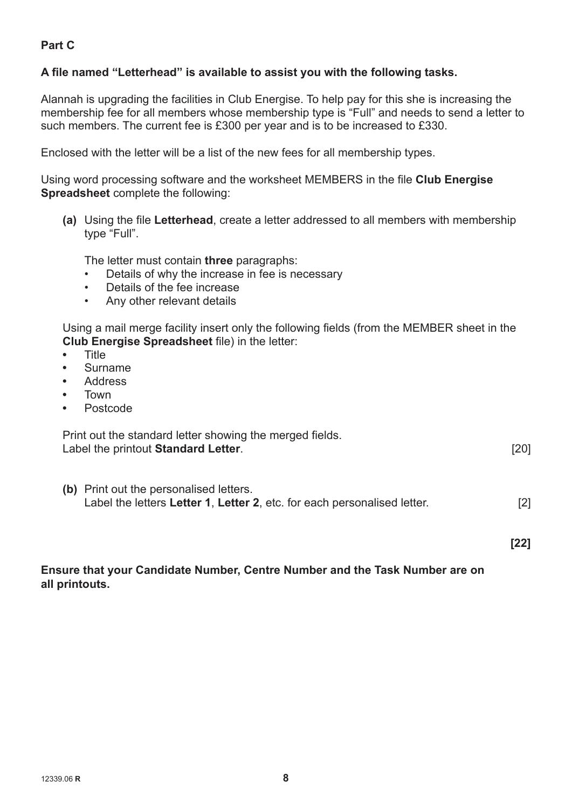## **Part C**

### **A file named "Letterhead" is available to assist you with the following tasks.**

Alannah is upgrading the facilities in Club Energise. To help pay for this she is increasing the membership fee for all members whose membership type is "Full" and needs to send a letter to such members. The current fee is £300 per year and is to be increased to £330.

Enclosed with the letter will be a list of the new fees for all membership types.

Using word processing software and the worksheet MEMBERS in the file **Club Energise Spreadsheet** complete the following:

**(a)** Using the file **Letterhead**, create a letter addressed to all members with membership type "Full".

The letter must contain **three** paragraphs:

- Details of why the increase in fee is necessary
- Details of the fee increase
- Any other relevant details

Using a mail merge facility insert only the following fields (from the MEMBER sheet in the **Club Energise Spreadsheet** file) in the letter:

- **•** Title
- **•** Surname
- **•** Address
- **•** Town
- **•** Postcode

| Print out the standard letter showing the merged fields. |      |
|----------------------------------------------------------|------|
| Label the printout Standard Letter.                      | [20] |

**(b)** Print out the personalised letters. Label the letters **Letter 1**, **Letter 2**, etc. for each personalised letter. [2]

**[22]**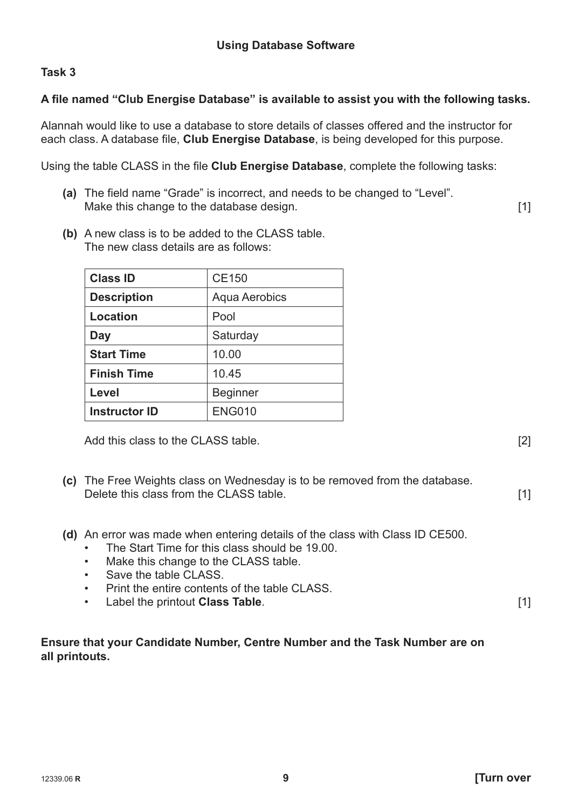## **A file named "Club Energise Database" is available to assist you with the following tasks.**

Alannah would like to use a database to store details of classes offered and the instructor for each class. A database file, **Club Energise Database**, is being developed for this purpose.

Using the table CLASS in the file **Club Energise Database**, complete the following tasks:

- **(a)** The field name "Grade" is incorrect, and needs to be changed to "Level". **Make this change to the database design.** *Make this change to the database design.*
- **(b)** A new class is to be added to the CLASS table. The new class details are as follows:

| <b>Class ID</b>      | <b>CE150</b>         |  |
|----------------------|----------------------|--|
| <b>Description</b>   | <b>Aqua Aerobics</b> |  |
| Location             | Pool                 |  |
| Day                  | Saturday             |  |
| <b>Start Time</b>    | 10.00                |  |
| <b>Finish Time</b>   | 10.45                |  |
| Level                | <b>Beginner</b>      |  |
| <b>Instructor ID</b> | <b>ENG010</b>        |  |

Add this class to the CLASS table. *Add this class* to the CLASS table. *Add this class* to the CLASS table.

- **(c)** The Free Weights class on Wednesday is to be removed from the database. **Delete this class from the CLASS table.** *CLASS table.* [1]
- **(d)** An error was made when entering details of the class with Class ID CE500.
	- The Start Time for this class should be 19.00.
	- Make this change to the CLASS table.
	- Save the table CLASS.
	- **Print the entire contents of the table CLASS.**
	- **Label the printout Class Table.** [1]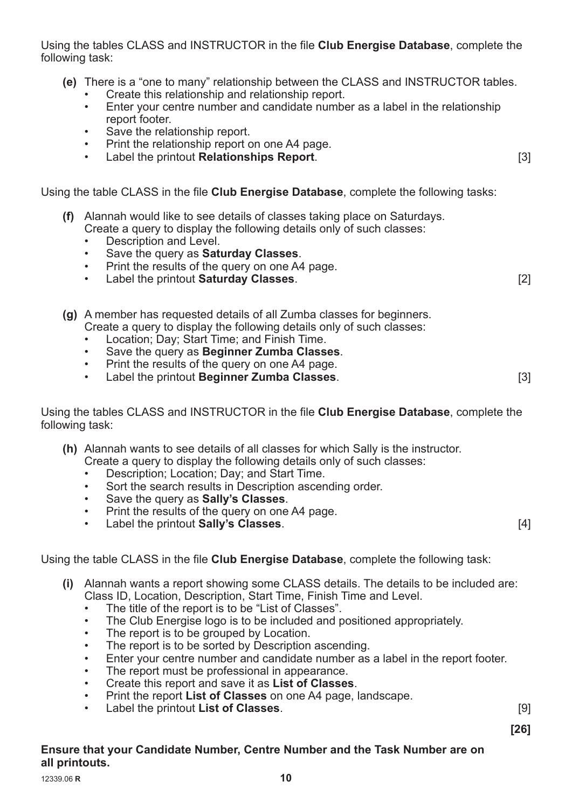Using the tables CLASS and INSTRUCTOR in the file **Club Energise Database**, complete the following task:

- **(e)** There is a "one to many" relationship between the CLASS and INSTRUCTOR tables.
	- Create this relationship and relationship report.
	- Enter your centre number and candidate number as a label in the relationship report footer.
	- Save the relationship report.
	- Print the relationship report on one A4 page.
	- Label the printout **Relationships Report**.

Using the table CLASS in the file **Club Energise Database**, complete the following tasks:

- **(f)** Alannah would like to see details of classes taking place on Saturdays. Create a query to display the following details only of such classes:
	- Description and Level.
	- Save the query as **Saturday Classes**.
	- Print the results of the query on one A4 page.
	- Label the printout **Saturday Classes**. [2]
- **(g)** A member has requested details of all Zumba classes for beginners. Create a query to display the following details only of such classes:
	- Location; Day; Start Time; and Finish Time.
	- Save the query as **Beginner Zumba Classes**.
	- Print the results of the query on one A4 page.
	- Label the printout **Beginner Zumba Classes**. [3]

Using the tables CLASS and INSTRUCTOR in the file **Club Energise Database**, complete the following task:

**(h)** Alannah wants to see details of all classes for which Sally is the instructor.

Create a query to display the following details only of such classes:

- Description; Location; Day; and Start Time.
- Sort the search results in Description ascending order.
- Save the query as **Sally's Classes**.
- Print the results of the query on one A4 page.
- Label the printout **Sally's Classes**. [4]

Using the table CLASS in the file **Club Energise Database**, complete the following task:

- **(i)** Alannah wants a report showing some CLASS details. The details to be included are: Class ID, Location, Description, Start Time, Finish Time and Level.
	- The title of the report is to be "List of Classes".
	- The Club Energise logo is to be included and positioned appropriately.
	- The report is to be grouped by Location.
	- The report is to be sorted by Description ascending.
	- Enter your centre number and candidate number as a label in the report footer.
	- The report must be professional in appearance.
	- Create this report and save it as **List of Classes**.
	- Print the report **List of Classes** on one A4 page, landscape.
	- Label the printout **List of Classes**. [9]

 **[26]**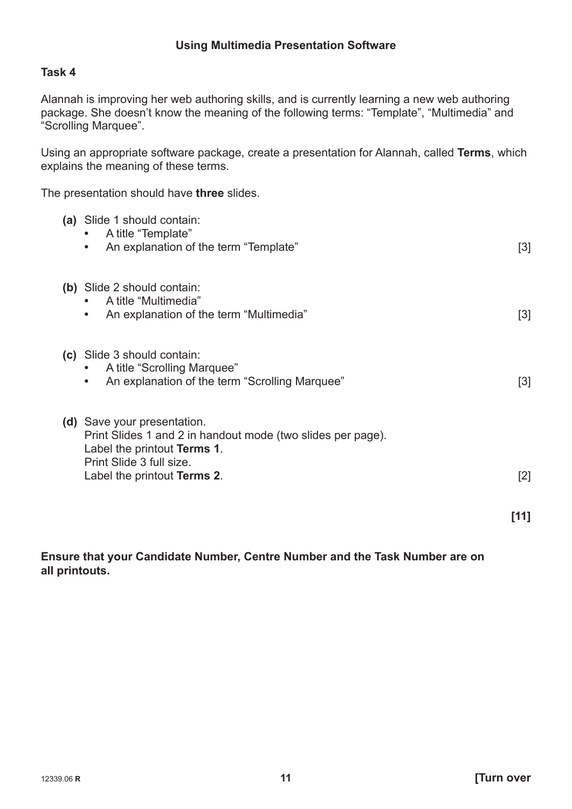Alannah is improving her web authoring skills, and is currently learning a new web authoring package. She doesn't know the meaning of the following terms: "Template", "Multimedia" and "Scrolling Marquee".

Using an appropriate software package, create a presentation for Alannah, called **Terms**, which explains the meaning of these terms.

The presentation should have **three** slides.

| (a) Slide 1 should contain:<br>A title "Template"<br>An explanation of the term "Template"                                                                                           | $[3]$             |
|--------------------------------------------------------------------------------------------------------------------------------------------------------------------------------------|-------------------|
| (b) Slide 2 should contain:<br>A title "Multimedia"<br>An explanation of the term "Multimedia"<br>$\bullet$                                                                          | $[3]$             |
| (c) Slide 3 should contain:<br>A title "Scrolling Marquee"<br>An explanation of the term "Scrolling Marquee"                                                                         | $[3]$             |
| (d) Save your presentation.<br>Print Slides 1 and 2 in handout mode (two slides per page).<br>Label the printout Terms 1.<br>Print Slide 3 full size.<br>Label the printout Terms 2. | $\lceil 2 \rceil$ |

 **[11]**